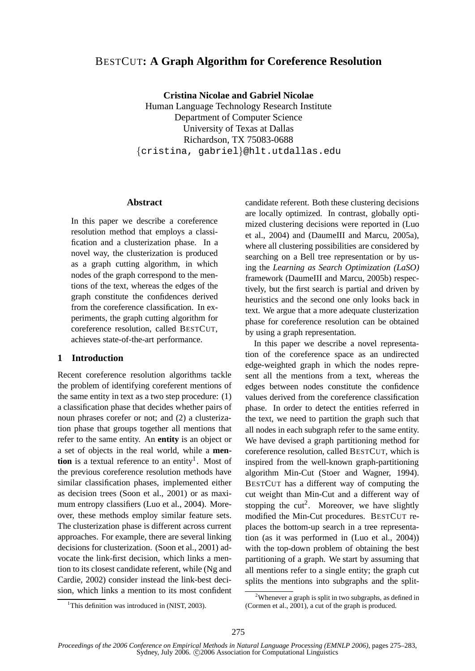# BESTCUT**: A Graph Algorithm for Coreference Resolution**

**Cristina Nicolae and Gabriel Nicolae**

Human Language Technology Research Institute Department of Computer Science University of Texas at Dallas Richardson, TX 75083-0688 {cristina, gabriel}@hlt.utdallas.edu

### **Abstract**

In this paper we describe a coreference resolution method that employs a classification and a clusterization phase. In a novel way, the clusterization is produced as a graph cutting algorithm, in which nodes of the graph correspond to the mentions of the text, whereas the edges of the graph constitute the confidences derived from the coreference classification. In experiments, the graph cutting algorithm for coreference resolution, called BESTCUT, achieves state-of-the-art performance.

#### **1 Introduction**

Recent coreference resolution algorithms tackle the problem of identifying coreferent mentions of the same entity in text as a two step procedure: (1) a classification phase that decides whether pairs of noun phrases corefer or not; and (2) a clusterization phase that groups together all mentions that refer to the same entity. An **entity** is an object or a set of objects in the real world, while a **mention** is a textual reference to an entity<sup>1</sup>. Most of the previous coreference resolution methods have similar classification phases, implemented either as decision trees (Soon et al., 2001) or as maximum entropy classifiers (Luo et al., 2004). Moreover, these methods employ similar feature sets. The clusterization phase is different across current approaches. For example, there are several linking decisions for clusterization. (Soon et al., 2001) advocate the link-first decision, which links a mention to its closest candidate referent, while (Ng and Cardie, 2002) consider instead the link-best decision, which links a mention to its most confident candidate referent. Both these clustering decisions are locally optimized. In contrast, globally optimized clustering decisions were reported in (Luo et al., 2004) and (DaumeIII and Marcu, 2005a), where all clustering possibilities are considered by searching on a Bell tree representation or by using the *Learning as Search Optimization (LaSO)* framework (DaumeIII and Marcu, 2005b) respectively, but the first search is partial and driven by heuristics and the second one only looks back in text. We argue that a more adequate clusterization phase for coreference resolution can be obtained by using a graph representation.

In this paper we describe a novel representation of the coreference space as an undirected edge-weighted graph in which the nodes represent all the mentions from a text, whereas the edges between nodes constitute the confidence values derived from the coreference classification phase. In order to detect the entities referred in the text, we need to partition the graph such that all nodes in each subgraph refer to the same entity. We have devised a graph partitioning method for coreference resolution, called BESTCUT, which is inspired from the well-known graph-partitioning algorithm Min-Cut (Stoer and Wagner, 1994). BESTCUT has a different way of computing the cut weight than Min-Cut and a different way of stopping the  $cut^2$ . Moreover, we have slightly modified the Min-Cut procedures. BESTCUT replaces the bottom-up search in a tree representation (as it was performed in (Luo et al., 2004)) with the top-down problem of obtaining the best partitioning of a graph. We start by assuming that all mentions refer to a single entity; the graph cut splits the mentions into subgraphs and the split-

<sup>&</sup>lt;sup>1</sup>This definition was introduced in (NIST, 2003).

<sup>&</sup>lt;sup>2</sup>Whenever a graph is split in two subgraphs, as defined in (Cormen et al., 2001), a cut of the graph is produced.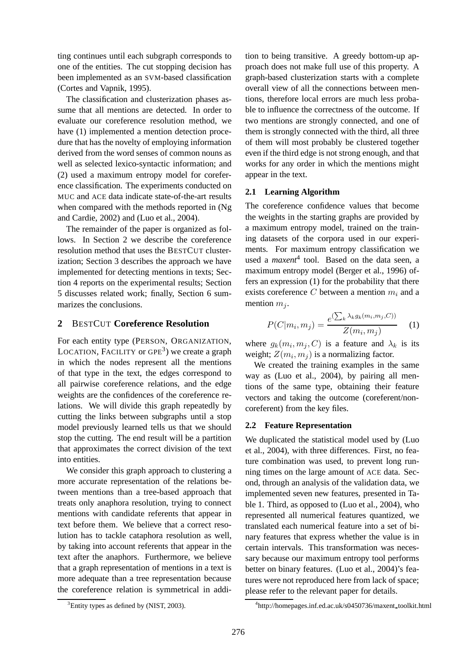ting continues until each subgraph corresponds to one of the entities. The cut stopping decision has been implemented as an SVM-based classification (Cortes and Vapnik, 1995).

The classification and clusterization phases assume that all mentions are detected. In order to evaluate our coreference resolution method, we have (1) implemented a mention detection procedure that has the novelty of employing information derived from the word senses of common nouns as well as selected lexico-syntactic information; and (2) used a maximum entropy model for coreference classification. The experiments conducted on MUC and ACE data indicate state-of-the-art results when compared with the methods reported in (Ng and Cardie, 2002) and (Luo et al., 2004).

The remainder of the paper is organized as follows. In Section 2 we describe the coreference resolution method that uses the BESTCUT clusterization; Section 3 describes the approach we have implemented for detecting mentions in texts; Section 4 reports on the experimental results; Section 5 discusses related work; finally, Section 6 summarizes the conclusions.

### **2** BESTCUT **Coreference Resolution**

For each entity type (PERSON, ORGANIZATION, LOCATION, FACILITY or GPE<sup>3</sup>) we create a graph in which the nodes represent all the mentions of that type in the text, the edges correspond to all pairwise coreference relations, and the edge weights are the confidences of the coreference relations. We will divide this graph repeatedly by cutting the links between subgraphs until a stop model previously learned tells us that we should stop the cutting. The end result will be a partition that approximates the correct division of the text into entities.

We consider this graph approach to clustering a more accurate representation of the relations between mentions than a tree-based approach that treats only anaphora resolution, trying to connect mentions with candidate referents that appear in text before them. We believe that a correct resolution has to tackle cataphora resolution as well, by taking into account referents that appear in the text after the anaphors. Furthermore, we believe that a graph representation of mentions in a text is more adequate than a tree representation because the coreference relation is symmetrical in addition to being transitive. A greedy bottom-up approach does not make full use of this property. A graph-based clusterization starts with a complete overall view of all the connections between mentions, therefore local errors are much less probable to influence the correctness of the outcome. If two mentions are strongly connected, and one of them is strongly connected with the third, all three of them will most probably be clustered together even if the third edge is not strong enough, and that works for any order in which the mentions might appear in the text.

### **2.1 Learning Algorithm**

The coreference confidence values that become the weights in the starting graphs are provided by a maximum entropy model, trained on the training datasets of the corpora used in our experiments. For maximum entropy classification we used a *maxent*<sup>4</sup> tool. Based on the data seen, a maximum entropy model (Berger et al., 1996) offers an expression (1) for the probability that there exists coreference C between a mention  $m_i$  and a mention  $m_i$ .

$$
P(C|m_i, m_j) = \frac{e^{(\sum_k \lambda_k g_k(m_i, m_j, C))}}{Z(m_i, m_j)}
$$
 (1)

where  $g_k(m_i, m_j, C)$  is a feature and  $\lambda_k$  is its weight;  $Z(m_i, m_j)$  is a normalizing factor.

We created the training examples in the same way as (Luo et al., 2004), by pairing all mentions of the same type, obtaining their feature vectors and taking the outcome (coreferent/noncoreferent) from the key files.

#### **2.2 Feature Representation**

We duplicated the statistical model used by (Luo et al., 2004), with three differences. First, no feature combination was used, to prevent long running times on the large amount of ACE data. Second, through an analysis of the validation data, we implemented seven new features, presented in Table 1. Third, as opposed to (Luo et al., 2004), who represented all numerical features quantized, we translated each numerical feature into a set of binary features that express whether the value is in certain intervals. This transformation was necessary because our maximum entropy tool performs better on binary features. (Luo et al., 2004)'s features were not reproduced here from lack of space; please refer to the relevant paper for details.

<sup>&</sup>lt;sup>3</sup>Entity types as defined by (NIST, 2003).

<sup>4</sup> http://homepages.inf.ed.ac.uk/s0450736/maxent toolkit.html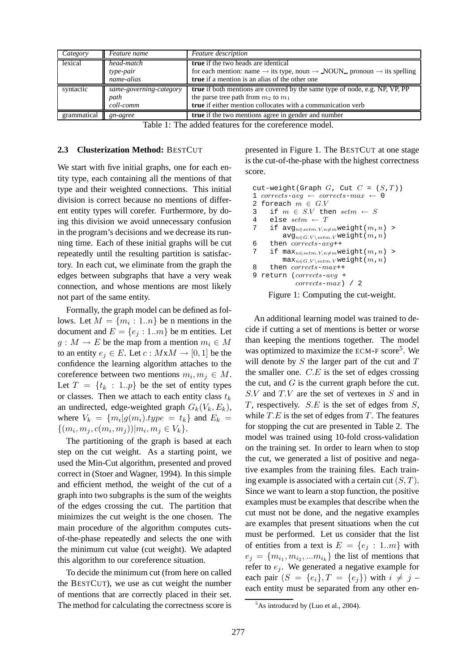| Category  | Feature name                                        | <b>Feature</b> description                                                                                                                                                                                               |
|-----------|-----------------------------------------------------|--------------------------------------------------------------------------------------------------------------------------------------------------------------------------------------------------------------------------|
| lexical   | $\overline{head}$ -match<br>type-pair<br>name-alias | <b>true</b> if the two heads are identical<br>for each mention: name $\rightarrow$ its type, noun $\rightarrow$ NOUN <sub>-</sub> , pronoun $\rightarrow$ its spelling<br>true if a mention is an alias of the other one |
| syntactic | same-governing-category<br>path<br>coll-comm        | <b>true</b> if both mentions are covered by the same type of node, e.g. NP, VP, PP<br>the parse tree path from $m_2$ to $m_1$<br>true if either mention collocates with a communication verb                             |
|           |                                                     | true if the two mentions agree in gender and number                                                                                                                                                                      |

Table 1: The added features for the coreference model.

#### **2.3 Clusterization Method:** BESTCUT

We start with five initial graphs, one for each entity type, each containing all the mentions of that type and their weighted connections. This initial division is correct because no mentions of different entity types will corefer. Furthermore, by doing this division we avoid unnecessary confusion in the program's decisions and we decrease its running time. Each of these initial graphs will be cut repeatedly until the resulting partition is satisfactory. In each cut, we eliminate from the graph the edges between subgraphs that have a very weak connection, and whose mentions are most likely not part of the same entity.

Formally, the graph model can be defined as follows. Let  $M = \{m_i : 1..n\}$  be n mentions in the document and  $E = \{e_i : 1..m\}$  be m entities. Let  $g: M \to E$  be the map from a mention  $m_i \in M$ to an entity  $e_i \in E$ . Let  $c : M \times M \rightarrow [0, 1]$  be the confidence the learning algorithm attaches to the coreference between two mentions  $m_i, m_j \in M$ . Let  $T = \{t_k : 1..p\}$  be the set of entity types or classes. Then we attach to each entity class  $t_k$ an undirected, edge-weighted graph  $G_k(V_k, E_k)$ , where  $V_k = \{m_i | g(m_i).type = t_k\}$  and  $E_k =$  $\{(m_i, m_j, c(m_i, m_j)) | m_i, m_j \in V_k\}.$ 

The partitioning of the graph is based at each step on the cut weight. As a starting point, we used the Min-Cut algorithm, presented and proved correct in (Stoer and Wagner, 1994). In this simple and efficient method, the weight of the cut of a graph into two subgraphs is the sum of the weights of the edges crossing the cut. The partition that minimizes the cut weight is the one chosen. The main procedure of the algorithm computes cutsof-the-phase repeatedly and selects the one with the minimum cut value (cut weight). We adapted this algorithm to our coreference situation.

To decide the minimum cut (from here on called the BESTCUT), we use as cut weight the number of mentions that are correctly placed in their set. The method for calculating the correctness score is presented in Figure 1. The BESTCUT at one stage is the cut-of-the-phase with the highest correctness score.

```
cut-weight(Graph G, Cut C = (S,T))
1 corrects-avg \leftarrow corrects-max \leftarrow 02 foreach m \in G.V3 if m \in S.V then setm \leftarrow S4 else setm \leftarrow T7 if avg_{n\in setm.V, n\neq m}weight(m, n) >
         avg_{n \in G.V\setminus stem.V} weight(m,n)
6 then corrects-avg++7 if \max_{n \in set m.V, n \neq m} weight(m,n) >
        \max_{n \in G.V \setminus stem.V} weight(m, n)8 then corrects-max++9 return (corrects-avg +
             corrects-max) / 2
```
Figure 1: Computing the cut-weight.

An additional learning model was trained to decide if cutting a set of mentions is better or worse than keeping the mentions together. The model was optimized to maximize the ECM-F score<sup>5</sup>. We will denote by  $S$  the larger part of the cut and  $T$ the smaller one.  $C.E$  is the set of edges crossing the cut, and  $G$  is the current graph before the cut.  $S.V$  and  $T.V$  are the set of vertexes in  $S$  and in T, respectively.  $S.E$  is the set of edges from  $S$ , while  $T.E$  is the set of edges from  $T$ . The features for stopping the cut are presented in Table 2. The model was trained using 10-fold cross-validation on the training set. In order to learn when to stop the cut, we generated a list of positive and negative examples from the training files. Each training example is associated with a certain cut  $(S, T)$ . Since we want to learn a stop function, the positive examples must be examples that describe when the cut must not be done, and the negative examples are examples that present situations when the cut must be performed. Let us consider that the list of entities from a text is  $E = \{e_i : 1..m\}$  with  $e_j = \{m_{i_1}, m_{i_2}, ... m_{i_k}\}\$ the list of mentions that refer to  $e_i$ . We generated a negative example for each pair  $(S = \{e_i\}, T = \{e_j\})$  with  $i \neq j$  – each entity must be separated from any other en-

<sup>&</sup>lt;sup>5</sup>As introduced by (Luo et al., 2004).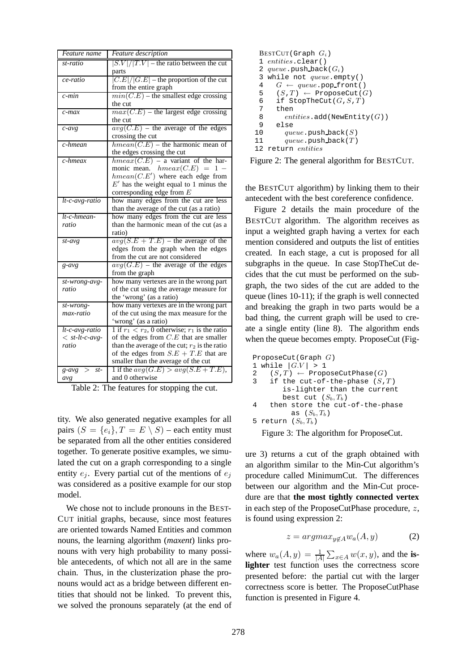| Feature name                       | Feature description                                            |
|------------------------------------|----------------------------------------------------------------|
| st-ratio                           | $ S.V / T.V $ – the ratio between the cut                      |
|                                    | parts                                                          |
| ce-ratio                           | $ \overline{C.E} / G.E $ – the proportion of the cut           |
|                                    | from the entire graph                                          |
| $\overline{c}\cdot \overline{min}$ | $min(C.E)$ – the smallest edge crossing                        |
|                                    | the cut                                                        |
| $c$ -max                           | $max(C.E)$ – the largest edge crossing                         |
|                                    | the cut                                                        |
| $c$ -avg                           | $avg(C.E)$ – the average of the edges                          |
|                                    | crossing the cut                                               |
| c-hmean                            | $hmean(C.E)$ – the harmonic mean of                            |
|                                    | the edges crossing the cut                                     |
| c-hmeax                            | $h$ meax $(C.E)$ – a variant of the har-                       |
|                                    | monic mean. $hmeax(C.E) = 1 -$                                 |
|                                    | $hmean(C.E')$ where each edge from                             |
|                                    | $E'$ has the weight equal to 1 minus the                       |
|                                    | corresponding edge from $E$                                    |
| $lt-c-avg-ratio$                   | how many edges from the cut are less                           |
|                                    | than the average of the cut (as a ratio)                       |
| $lt-c$ -hmean-                     | how many edges from the cut are less                           |
| ratio                              | than the harmonic mean of the cut (as a                        |
|                                    | ratio)                                                         |
| $st$ -avg                          | $avg(S.E + T.E)$ – the average of the                          |
|                                    | edges from the graph when the edges                            |
|                                    | from the cut are not considered                                |
| $g$ -avg                           | $avg(G.E)$ – the average of the edges                          |
|                                    | from the graph                                                 |
| st-wrong-avg-                      | how many vertexes are in the wrong part                        |
| ratio                              | of the cut using the average measure for                       |
|                                    | the 'wrong' (as a ratio)                                       |
| st-wrong-                          | how many vertexes are in the wrong part                        |
| max-ratio                          | of the cut using the max measure for the                       |
|                                    | 'wrong' (as a ratio)                                           |
| $lt-c-avg-ratio$                   | $\frac{1}{1}$ if $r_1 < r_2$ , 0 otherwise; $r_1$ is the ratio |
| $<$ st-lt-c-avg-                   | of the edges from $C.E$ that are smaller                       |
| ratio                              | than the average of the cut; $r_2$ is the ratio                |
|                                    | of the edges from $S.E + T.E$ that are                         |
|                                    | smaller than the average of the cut                            |
| $g\text{-}avg > st$                | 1 if the $avg(G.E) > avg(S.E + T.E)$ ,                         |
| avg                                | and 0 otherwise                                                |

Table 2: The features for stopping the cut.

tity. We also generated negative examples for all pairs  $(S = \{e_i\}, T = E \setminus S)$  – each entity must be separated from all the other entities considered together. To generate positive examples, we simulated the cut on a graph corresponding to a single entity  $e_i$ . Every partial cut of the mentions of  $e_i$ was considered as a positive example for our stop model.

We chose not to include pronouns in the BEST-CUT initial graphs, because, since most features are oriented towards Named Entities and common nouns, the learning algorithm (*maxent*) links pronouns with very high probability to many possible antecedents, of which not all are in the same chain. Thus, in the clusterization phase the pronouns would act as a bridge between different entities that should not be linked. To prevent this, we solved the pronouns separately (at the end of

```
\text{BESTCUT} (Graph G_i)
 1 entities.clear()
 2 queue.push back(G_i)
 3 while not queue.empty()<br>4 G \leftarrow queue.pop front(
       G \leftarrow queue.pop\_front()5 (S,T) \leftarrow \text{ProposeCut}(G)6 if StopTheCut(G, S, T)\begin{array}{cc} 7 & \text{then} \\ 8 & \text{ent} \end{array}entities.add(NewEntity(G))9 else
10 queue.\text{push-back}(S)11 queue.\text{push-back}(T)12 return entities
```
Figure 2: The general algorithm for BESTCUT.

the BESTCUT algorithm) by linking them to their antecedent with the best coreference confidence.

Figure 2 details the main procedure of the BESTCUT algorithm. The algorithm receives as input a weighted graph having a vertex for each mention considered and outputs the list of entities created. In each stage, a cut is proposed for all subgraphs in the queue. In case StopTheCut decides that the cut must be performed on the subgraph, the two sides of the cut are added to the queue (lines 10-11); if the graph is well connected and breaking the graph in two parts would be a bad thing, the current graph will be used to create a single entity (line 8). The algorithm ends when the queue becomes empty. ProposeCut (Fig-

```
ProposeCut(Graph G)
1 while |G.V| > 12 (S,T) \leftarrow \text{ProposeCutPhase}(G)<br>3 if the cut-of-the-phase (S, S')if the cut-of-the-phase (S,T)is-lighter than the current
         best cut (S_b, T_b)4 then store the cut-of-the-phase
           as (S_b, T_b)5 return (S_b, T_b)
```
Figure 3: The algorithm for ProposeCut.

ure 3) returns a cut of the graph obtained with an algorithm similar to the Min-Cut algorithm's procedure called MinimumCut. The differences between our algorithm and the Min-Cut procedure are that **the most tightly connected vertex** in each step of the ProposeCutPhase procedure, z, is found using expression 2:

$$
z = argmax_{y \notin A} w_a(A, y) \tag{2}
$$

where  $w_a(A, y) = \frac{1}{|A|} \sum_{x \in A} w(x, y)$ , and the **islighter** test function uses the correctness score presented before: the partial cut with the larger correctness score is better. The ProposeCutPhase function is presented in Figure 4.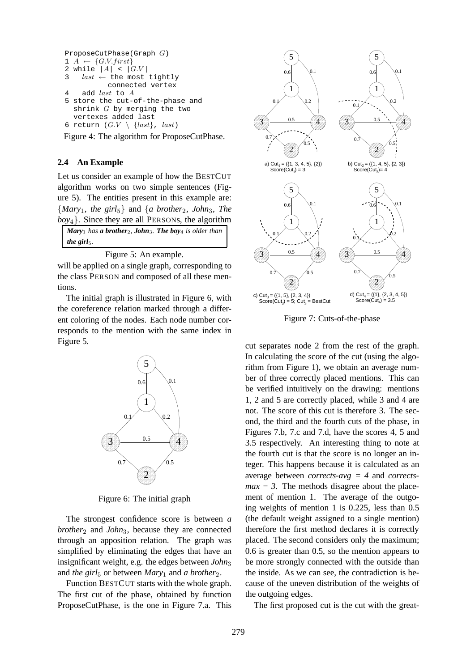```
ProposeCutPhase(Graph G)
1 \ A \leftarrow \{G.V.first\}2 while |A| < |G.V|3 last \leftarrow the most tightly
           connected vertex
4 add last to A
5 store the cut-of-the-phase and
  shrink G by merging the two
  vertexes added last
6 return (G.V \setminus \{last\}, \ last)
```
Figure 4: The algorithm for ProposeCutPhase.

### **2.4 An Example**

Let us consider an example of how the BESTCUT algorithm works on two simple sentences (Figure 5). The entities present in this example are:  ${Mary_1, the girl_5}$  and  ${a brother_2, John_3, The}$ *boy*4}. Since they are all PERSONs, the algorithm

| <b>Mary</b> <sub>1</sub> has <b>a brother</b> <sub>2</sub> , <b>John</b> <sub>3</sub> . <b>The boy</b> <sub>4</sub> is older than |  |
|-----------------------------------------------------------------------------------------------------------------------------------|--|
| the girl <sub>5</sub> .                                                                                                           |  |

Figure 5: An example.

will be applied on a single graph, corresponding to the class PERSON and composed of all these mentions.

The initial graph is illustrated in Figure 6, with the coreference relation marked through a different coloring of the nodes. Each node number corresponds to the mention with the same index in Figure 5.



Figure 6: The initial graph

The strongest confidence score is between *a brother*<sub>2</sub> and *John*<sub>3</sub>, because they are connected through an apposition relation. The graph was simplified by eliminating the edges that have an insignificant weight, e.g. the edges between *John*<sup>3</sup> and *the girl*<sub>5</sub> or between *Mary*<sub>1</sub> and *a brother*<sub>2</sub>.

Function BESTCUT starts with the whole graph. The first cut of the phase, obtained by function ProposeCutPhase, is the one in Figure 7.a. This



Figure 7: Cuts-of-the-phase

cut separates node 2 from the rest of the graph. In calculating the score of the cut (using the algorithm from Figure 1), we obtain an average number of three correctly placed mentions. This can be verified intuitively on the drawing: mentions 1, 2 and 5 are correctly placed, while 3 and 4 are not. The score of this cut is therefore 3. The second, the third and the fourth cuts of the phase, in Figures 7.b, 7.c and 7.d, have the scores 4, 5 and 3.5 respectively. An interesting thing to note at the fourth cut is that the score is no longer an integer. This happens because it is calculated as an average between *corrects-avg = 4* and *corrects* $max = 3$ . The methods disagree about the placement of mention 1. The average of the outgoing weights of mention 1 is 0.225, less than 0.5 (the default weight assigned to a single mention) therefore the first method declares it is correctly placed. The second considers only the maximum; 0.6 is greater than 0.5, so the mention appears to be more strongly connected with the outside than the inside. As we can see, the contradiction is because of the uneven distribution of the weights of the outgoing edges.

The first proposed cut is the cut with the great-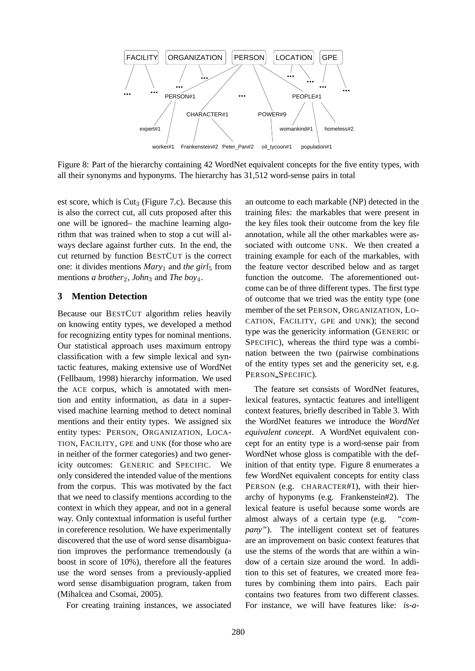

Figure 8: Part of the hierarchy containing 42 WordNet equivalent concepts for the five entity types, with all their synonyms and hyponyms. The hierarchy has 31,512 word-sense pairs in total

est score, which is  $\text{Cut}_3$  (Figure 7.c). Because this is also the correct cut, all cuts proposed after this one will be ignored– the machine learning algorithm that was trained when to stop a cut will always declare against further cuts. In the end, the cut returned by function BESTCUT is the correct one: it divides mentions *Mary*<sub>1</sub> and *the girl*<sub>5</sub> from mentions *a brother*<sub>2</sub>, *John*<sub>3</sub> and *The boy*<sub>4</sub>.

### **3 Mention Detection**

Because our BESTCUT algorithm relies heavily on knowing entity types, we developed a method for recognizing entity types for nominal mentions. Our statistical approach uses maximum entropy classification with a few simple lexical and syntactic features, making extensive use of WordNet (Fellbaum, 1998) hierarchy information. We used the ACE corpus, which is annotated with mention and entity information, as data in a supervised machine learning method to detect nominal mentions and their entity types. We assigned six entity types: PERSON, ORGANIZATION, LOCA-TION, FACILITY, GPE and UNK (for those who are in neither of the former categories) and two genericity outcomes: GENERIC and SPECIFIC. We only considered the intended value of the mentions from the corpus. This was motivated by the fact that we need to classify mentions according to the context in which they appear, and not in a general way. Only contextual information is useful further in coreference resolution. We have experimentally discovered that the use of word sense disambiguation improves the performance tremendously (a boost in score of 10%), therefore all the features use the word senses from a previously-applied word sense disambiguation program, taken from (Mihalcea and Csomai, 2005).

For creating training instances, we associated

an outcome to each markable (NP) detected in the training files: the markables that were present in the key files took their outcome from the key file annotation, while all the other markables were associated with outcome UNK. We then created a training example for each of the markables, with the feature vector described below and as target function the outcome. The aforementioned outcome can be of three different types. The first type of outcome that we tried was the entity type (one member of the set PERSON, ORGANIZATION, LO-CATION, FACILITY, GPE and UNK); the second type was the genericity information (GENERIC or SPECIFIC), whereas the third type was a combination between the two (pairwise combinations of the entity types set and the genericity set, e.g. PERSON SPECIFIC).

The feature set consists of WordNet features, lexical features, syntactic features and intelligent context features, briefly described in Table 3. With the WordNet features we introduce the *WordNet equivalent concept*. A WordNet equivalent concept for an entity type is a word-sense pair from WordNet whose gloss is compatible with the definition of that entity type. Figure 8 enumerates a few WordNet equivalent concepts for entity class PERSON (e.g. CHARACTER#1), with their hierarchy of hyponyms (e.g. Frankenstein#2). The lexical feature is useful because some words are almost always of a certain type (e.g. *"company"*). The intelligent context set of features are an improvement on basic context features that use the stems of the words that are within a window of a certain size around the word. In addition to this set of features, we created more features by combining them into pairs. Each pair contains two features from two different classes. For instance, we will have features like: *is-a-*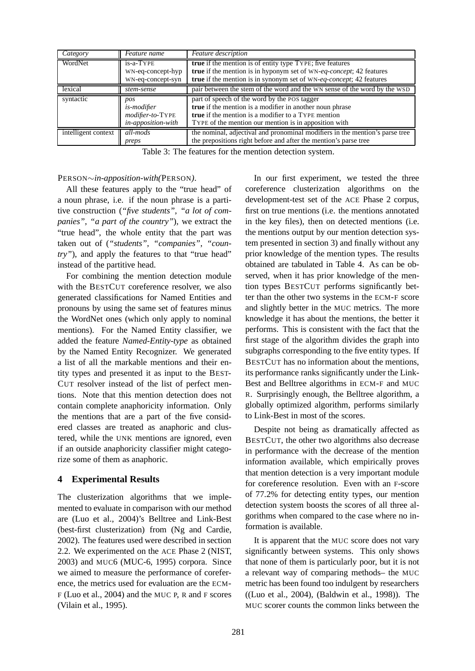| Category            | Feature name                                                        | Feature description                                                                                                                                                                                                             |
|---------------------|---------------------------------------------------------------------|---------------------------------------------------------------------------------------------------------------------------------------------------------------------------------------------------------------------------------|
| WordNet             | is-a-TYPE<br>WN-eq-concept-hyp<br>WN-eq-concept-syn                 | <b>true</b> if the mention is of entity type TYPE; five features<br>true if the mention is in hyponym set of WN-eq-concept; 42 features<br>true if the mention is in synonym set of WN-eq-concept; 42 features                  |
| lexical             | stem-sense                                                          | pair between the stem of the word and the WN sense of the word by the WSD                                                                                                                                                       |
| syntactic           | pos<br><i>is-modifier</i><br>modifier-to-TYPE<br>in-apposition-with | part of speech of the word by the POS tagger<br>true if the mention is a modifier in another noun phrase<br><b>true</b> if the mention is a modifier to a TYPE mention<br>TYPE of the mention our mention is in apposition with |
| intelligent context | all-mods<br>preps                                                   | the nominal, adjectival and pronominal modifiers in the mention's parse tree<br>the prepositions right before and after the mention's parse tree                                                                                |

Table 3: The features for the mention detection system.

#### PERSON∼*in-apposition-with(*PERSON*)*.

All these features apply to the "true head" of a noun phrase, i.e. if the noun phrase is a partitive construction (*"five students"*, *"a lot of companies"*, *"a part of the country"*), we extract the "true head", the whole entity that the part was taken out of (*"students"*, *"companies"*, *"country*"), and apply the features to that "true head" instead of the partitive head.

For combining the mention detection module with the BESTCUT coreference resolver, we also generated classifications for Named Entities and pronouns by using the same set of features minus the WordNet ones (which only apply to nominal mentions). For the Named Entity classifier, we added the feature *Named-Entity-type* as obtained by the Named Entity Recognizer. We generated a list of all the markable mentions and their entity types and presented it as input to the BEST-CUT resolver instead of the list of perfect mentions. Note that this mention detection does not contain complete anaphoricity information. Only the mentions that are a part of the five considered classes are treated as anaphoric and clustered, while the UNK mentions are ignored, even if an outside anaphoricity classifier might categorize some of them as anaphoric.

### **4 Experimental Results**

The clusterization algorithms that we implemented to evaluate in comparison with our method are (Luo et al., 2004)'s Belltree and Link-Best (best-first clusterization) from (Ng and Cardie, 2002). The features used were described in section 2.2. We experimented on the ACE Phase 2 (NIST, 2003) and MUC6 (MUC-6, 1995) corpora. Since we aimed to measure the performance of coreference, the metrics used for evaluation are the ECM-F (Luo et al., 2004) and the MUC P, R and F scores (Vilain et al., 1995).

In our first experiment, we tested the three coreference clusterization algorithms on the development-test set of the ACE Phase 2 corpus, first on true mentions (i.e. the mentions annotated in the key files), then on detected mentions (i.e. the mentions output by our mention detection system presented in section 3) and finally without any prior knowledge of the mention types. The results obtained are tabulated in Table 4. As can be observed, when it has prior knowledge of the mention types BESTCUT performs significantly better than the other two systems in the ECM-F score and slightly better in the MUC metrics. The more knowledge it has about the mentions, the better it performs. This is consistent with the fact that the first stage of the algorithm divides the graph into subgraphs corresponding to the five entity types. If BESTCUT has no information about the mentions, its performance ranks significantly under the Link-Best and Belltree algorithms in ECM-F and MUC R. Surprisingly enough, the Belltree algorithm, a globally optimized algorithm, performs similarly to Link-Best in most of the scores.

Despite not being as dramatically affected as BESTCUT, the other two algorithms also decrease in performance with the decrease of the mention information available, which empirically proves that mention detection is a very important module for coreference resolution. Even with an F-score of 77.2% for detecting entity types, our mention detection system boosts the scores of all three algorithms when compared to the case where no information is available.

It is apparent that the MUC score does not vary significantly between systems. This only shows that none of them is particularly poor, but it is not a relevant way of comparing methods– the MUC metric has been found too indulgent by researchers ((Luo et al., 2004), (Baldwin et al., 1998)). The MUC scorer counts the common links between the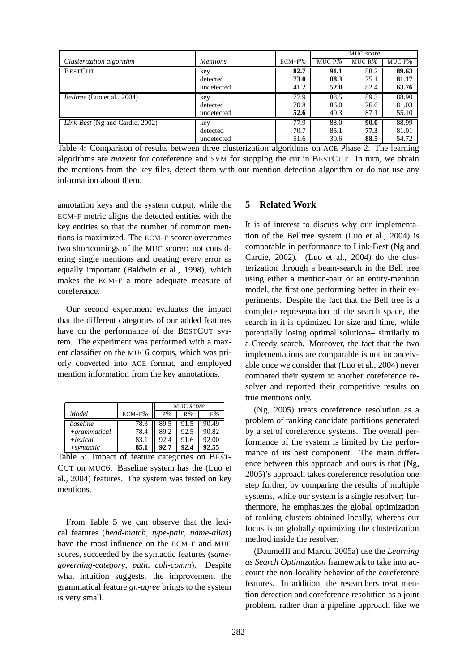|                                        |                 |           | MUC score |                    |           |
|----------------------------------------|-----------------|-----------|-----------|--------------------|-----------|
| Clusterization algorithm               | <i>Mentions</i> | $ECM-F\%$ | MUC $P\%$ | MUC R <sup>%</sup> | MUC F $%$ |
| <b>BESTCUT</b>                         | key             | 82.7      | 91.1      | 88.2               | 89.63     |
|                                        | detected        | 73.0      | 88.3      | 75.1               | 81.17     |
|                                        | undetected      | 41.2      | 52.0      | 82.4               | 63.76     |
| <i>Belltree</i> (Luo et al., 2004)     | key             | 77.9      | 88.5      | 89.3               | 88.90     |
|                                        | detected        | 70.8      | 86.0      | 76.6               | 81.03     |
|                                        | undetected      | 52.6      | 40.3      | 87.1               | 55.10     |
| <i>Link-Best</i> (Ng and Cardie, 2002) | key             | 77.9      | 88.0      | 90.0               | 88.99     |
|                                        | detected        | 70.7      | 85.1      | 77.3               | 81.01     |
|                                        | undetected      | 51.6      | 39.6      | 88.5               | 54.72     |

Table 4: Comparison of results between three clusterization algorithms on ACE Phase 2. The learning algorithms are *maxent* for coreference and SVM for stopping the cut in BESTCUT. In turn, we obtain the mentions from the key files, detect them with our mention detection algorithm or do not use any information about them.

annotation keys and the system output, while the ECM-F metric aligns the detected entities with the key entities so that the number of common mentions is maximized. The ECM-F scorer overcomes two shortcomings of the MUC scorer: not considering single mentions and treating every error as equally important (Baldwin et al., 1998), which makes the ECM-F a more adequate measure of coreference.

Our second experiment evaluates the impact that the different categories of our added features have on the performance of the BESTCUT system. The experiment was performed with a maxent classifier on the MUC6 corpus, which was priorly converted into ACE format, and employed mention information from the key annotations.

|                |           | MUC score |       |       |
|----------------|-----------|-----------|-------|-------|
| Model          | $ECM-F\%$ | $P\%$     | $R\%$ | $F\%$ |
| baseline       | 78.3      | 89.5      | 91.5  | 90.49 |
| $+grammatical$ | 78.4      | 89.2      | 92.5  | 90.82 |
| $+lexical$     | 83.1      | 92.4      | 91.6  | 92.00 |
| $+$ syntactic  | 85.1      | 92.7      | 92.4  | 92.55 |

Table 5: Impact of feature categories on BEST-CUT on MUC6. Baseline system has the (Luo et al., 2004) features. The system was tested on key mentions.

From Table 5 we can observe that the lexical features (*head-match*, *type-pair*, *name-alias*) have the most influence on the ECM-F and MUC scores, succeeded by the syntactic features (*samegoverning-category*, *path*, *coll-comm*). Despite what intuition suggests, the improvement the grammatical feature *gn-agree* brings to the system is very small.

# **5 Related Work**

It is of interest to discuss why our implementation of the Belltree system (Luo et al., 2004) is comparable in performance to Link-Best (Ng and Cardie, 2002). (Luo et al., 2004) do the clusterization through a beam-search in the Bell tree using either a mention-pair or an entity-mention model, the first one performing better in their experiments. Despite the fact that the Bell tree is a complete representation of the search space, the search in it is optimized for size and time, while potentially losing optimal solutions– similarly to a Greedy search. Moreover, the fact that the two implementations are comparable is not inconceivable once we consider that (Luo et al., 2004) never compared their system to another coreference resolver and reported their competitive results on true mentions only.

(Ng, 2005) treats coreference resolution as a problem of ranking candidate partitions generated by a set of coreference systems. The overall performance of the system is limited by the performance of its best component. The main difference between this approach and ours is that (Ng, 2005)'s approach takes coreference resolution one step further, by comparing the results of multiple systems, while our system is a single resolver; furthermore, he emphasizes the global optimization of ranking clusters obtained locally, whereas our focus is on globally optimizing the clusterization method inside the resolver.

(DaumeIII and Marcu, 2005a) use the *Learning as Search Optimization* framework to take into account the non-locality behavior of the coreference features. In addition, the researchers treat mention detection and coreference resolution as a joint problem, rather than a pipeline approach like we